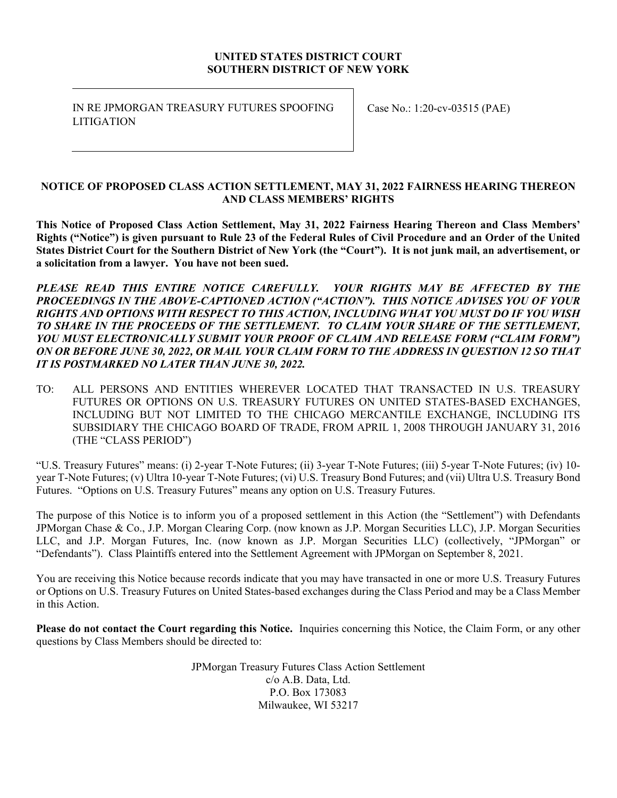#### **UNITED STATES DISTRICT COURT SOUTHERN DISTRICT OF NEW YORK**

IN RE JPMORGAN TREASURY FUTURES SPOOFING **LITIGATION** 

Case No.: 1:20-cv-03515 (PAE)

#### **NOTICE OF PROPOSED CLASS ACTION SETTLEMENT, MAY 31, 2022 FAIRNESS HEARING THEREON AND CLASS MEMBERS' RIGHTS**

**This Notice of Proposed Class Action Settlement, May 31, 2022 Fairness Hearing Thereon and Class Members' Rights ("Notice") is given pursuant to Rule 23 of the Federal Rules of Civil Procedure and an Order of the United States District Court for the Southern District of New York (the "Court"). It is not junk mail, an advertisement, or a solicitation from a lawyer. You have not been sued.** 

*PLEASE READ THIS ENTIRE NOTICE CAREFULLY. YOUR RIGHTS MAY BE AFFECTED BY THE PROCEEDINGS IN THE ABOVE-CAPTIONED ACTION ("ACTION"). THIS NOTICE ADVISES YOU OF YOUR RIGHTS AND OPTIONS WITH RESPECT TO THIS ACTION, INCLUDING WHAT YOU MUST DO IF YOU WISH TO SHARE IN THE PROCEEDS OF THE SETTLEMENT. TO CLAIM YOUR SHARE OF THE SETTLEMENT, YOU MUST ELECTRONICALLY SUBMIT YOUR PROOF OF CLAIM AND RELEASE FORM ("CLAIM FORM") ON OR BEFORE JUNE 30, 2022, OR MAIL YOUR CLAIM FORM TO THE ADDRESS IN QUESTION 12 SO THAT IT IS POSTMARKED NO LATER THAN JUNE 30, 2022.* 

TO: ALL PERSONS AND ENTITIES WHEREVER LOCATED THAT TRANSACTED IN U.S. TREASURY FUTURES OR OPTIONS ON U.S. TREASURY FUTURES ON UNITED STATES-BASED EXCHANGES, INCLUDING BUT NOT LIMITED TO THE CHICAGO MERCANTILE EXCHANGE, INCLUDING ITS SUBSIDIARY THE CHICAGO BOARD OF TRADE, FROM APRIL 1, 2008 THROUGH JANUARY 31, 2016 (THE "CLASS PERIOD")

"U.S. Treasury Futures" means: (i) 2-year T-Note Futures; (ii) 3-year T-Note Futures; (iii) 5-year T-Note Futures; (iv) 10 year T-Note Futures; (v) Ultra 10-year T-Note Futures; (vi) U.S. Treasury Bond Futures; and (vii) Ultra U.S. Treasury Bond Futures. "Options on U.S. Treasury Futures" means any option on U.S. Treasury Futures.

The purpose of this Notice is to inform you of a proposed settlement in this Action (the "Settlement") with Defendants JPMorgan Chase & Co., J.P. Morgan Clearing Corp. (now known as J.P. Morgan Securities LLC), J.P. Morgan Securities LLC, and J.P. Morgan Futures, Inc. (now known as J.P. Morgan Securities LLC) (collectively, "JPMorgan" or "Defendants"). Class Plaintiffs entered into the Settlement Agreement with JPMorgan on September 8, 2021.

You are receiving this Notice because records indicate that you may have transacted in one or more U.S. Treasury Futures or Options on U.S. Treasury Futures on United States-based exchanges during the Class Period and may be a Class Member in this Action.

**Please do not contact the Court regarding this Notice.** Inquiries concerning this Notice, the Claim Form, or any other questions by Class Members should be directed to:

> JPMorgan Treasury Futures Class Action Settlement c/o A.B. Data, Ltd. P.O. Box 173083 Milwaukee, WI 53217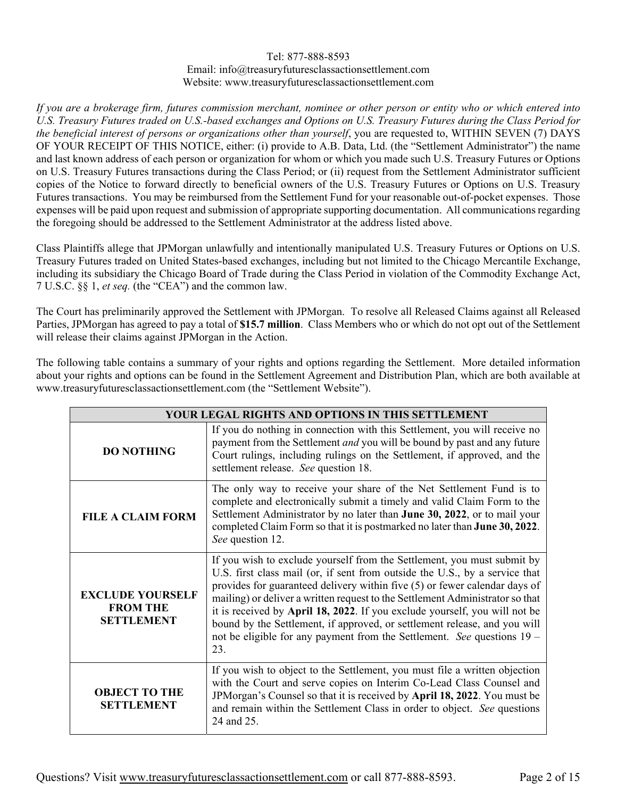#### Tel: 877-888-8593 Email: info@treasuryfuturesclassactionsettlement.com Website: www.treasuryfuturesclassactionsettlement.com

*If you are a brokerage firm, futures commission merchant, nominee or other person or entity who or which entered into U.S. Treasury Futures traded on U.S.-based exchanges and Options on U.S. Treasury Futures during the Class Period for the beneficial interest of persons or organizations other than yourself*, you are requested to, WITHIN SEVEN (7) DAYS OF YOUR RECEIPT OF THIS NOTICE, either: (i) provide to A.B. Data, Ltd. (the "Settlement Administrator") the name and last known address of each person or organization for whom or which you made such U.S. Treasury Futures or Options on U.S. Treasury Futures transactions during the Class Period; or (ii) request from the Settlement Administrator sufficient copies of the Notice to forward directly to beneficial owners of the U.S. Treasury Futures or Options on U.S. Treasury Futures transactions. You may be reimbursed from the Settlement Fund for your reasonable out-of-pocket expenses. Those expenses will be paid upon request and submission of appropriate supporting documentation. All communications regarding the foregoing should be addressed to the Settlement Administrator at the address listed above.

Class Plaintiffs allege that JPMorgan unlawfully and intentionally manipulated U.S. Treasury Futures or Options on U.S. Treasury Futures traded on United States-based exchanges, including but not limited to the Chicago Mercantile Exchange, including its subsidiary the Chicago Board of Trade during the Class Period in violation of the Commodity Exchange Act, 7 U.S.C. §§ 1, *et seq.* (the "CEA") and the common law.

The Court has preliminarily approved the Settlement with JPMorgan. To resolve all Released Claims against all Released Parties, JPMorgan has agreed to pay a total of **\$15.7 million**. Class Members who or which do not opt out of the Settlement will release their claims against JPMorgan in the Action.

The following table contains a summary of your rights and options regarding the Settlement. More detailed information about your rights and options can be found in the Settlement Agreement and Distribution Plan, which are both available at www.treasuryfuturesclassactionsettlement.com (the "Settlement Website").

| YOUR LEGAL RIGHTS AND OPTIONS IN THIS SETTLEMENT                |                                                                                                                                                                                                                                                                                                                                                                                                                                                                                                                                                                    |  |  |  |
|-----------------------------------------------------------------|--------------------------------------------------------------------------------------------------------------------------------------------------------------------------------------------------------------------------------------------------------------------------------------------------------------------------------------------------------------------------------------------------------------------------------------------------------------------------------------------------------------------------------------------------------------------|--|--|--|
| <b>DO NOTHING</b>                                               | If you do nothing in connection with this Settlement, you will receive no<br>payment from the Settlement <i>and</i> you will be bound by past and any future<br>Court rulings, including rulings on the Settlement, if approved, and the<br>settlement release. See question 18.                                                                                                                                                                                                                                                                                   |  |  |  |
| <b>FILE A CLAIM FORM</b>                                        | The only way to receive your share of the Net Settlement Fund is to<br>complete and electronically submit a timely and valid Claim Form to the<br>Settlement Administrator by no later than June 30, 2022, or to mail your<br>completed Claim Form so that it is postmarked no later than June 30, 2022.<br>See question 12.                                                                                                                                                                                                                                       |  |  |  |
| <b>EXCLUDE YOURSELF</b><br><b>FROM THE</b><br><b>SETTLEMENT</b> | If you wish to exclude yourself from the Settlement, you must submit by<br>U.S. first class mail (or, if sent from outside the U.S., by a service that<br>provides for guaranteed delivery within five (5) or fewer calendar days of<br>mailing) or deliver a written request to the Settlement Administrator so that<br>it is received by April 18, 2022. If you exclude yourself, you will not be<br>bound by the Settlement, if approved, or settlement release, and you will<br>not be eligible for any payment from the Settlement. See questions 19 -<br>23. |  |  |  |
| <b>OBJECT TO THE</b><br><b>SETTLEMENT</b>                       | If you wish to object to the Settlement, you must file a written objection<br>with the Court and serve copies on Interim Co-Lead Class Counsel and<br>JPMorgan's Counsel so that it is received by April 18, 2022. You must be<br>and remain within the Settlement Class in order to object. See questions<br>24 and 25.                                                                                                                                                                                                                                           |  |  |  |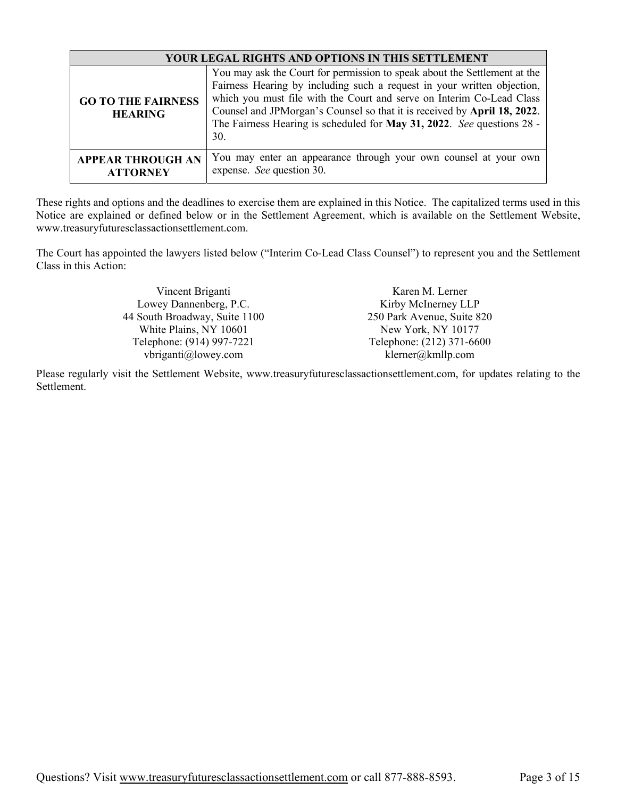| YOUR LEGAL RIGHTS AND OPTIONS IN THIS SETTLEMENT |                                                                                                                                                                                                                                                                                                                                                                                            |  |
|--------------------------------------------------|--------------------------------------------------------------------------------------------------------------------------------------------------------------------------------------------------------------------------------------------------------------------------------------------------------------------------------------------------------------------------------------------|--|
| <b>GO TO THE FAIRNESS</b><br><b>HEARING</b>      | You may ask the Court for permission to speak about the Settlement at the<br>Fairness Hearing by including such a request in your written objection,<br>which you must file with the Court and serve on Interim Co-Lead Class<br>Counsel and JPMorgan's Counsel so that it is received by April 18, 2022.<br>The Fairness Hearing is scheduled for May 31, 2022. See questions 28 -<br>30. |  |
| <b>APPEAR THROUGH AN</b><br><b>ATTORNEY</b>      | You may enter an appearance through your own counsel at your own<br>expense. See question 30.                                                                                                                                                                                                                                                                                              |  |

These rights and options and the deadlines to exercise them are explained in this Notice. The capitalized terms used in this Notice are explained or defined below or in the Settlement Agreement, which is available on the Settlement Website, www.treasuryfuturesclassactionsettlement.com.

The Court has appointed the lawyers listed below ("Interim Co-Lead Class Counsel") to represent you and the Settlement Class in this Action:

| Vincent Briganti              | Karen M. Lerner            |  |
|-------------------------------|----------------------------|--|
| Lowey Dannenberg, P.C.        | Kirby McInerney LLP        |  |
| 44 South Broadway, Suite 1100 | 250 Park Avenue, Suite 820 |  |
| White Plains, NY 10601        | New York, NY 10177         |  |
| Telephone: (914) 997-7221     | Telephone: (212) 371-6600  |  |
| vbriganti@lowey.com           | klerner@kmllp.com          |  |

Please regularly visit the Settlement Website, www.treasuryfuturesclassactionsettlement.com, for updates relating to the Settlement.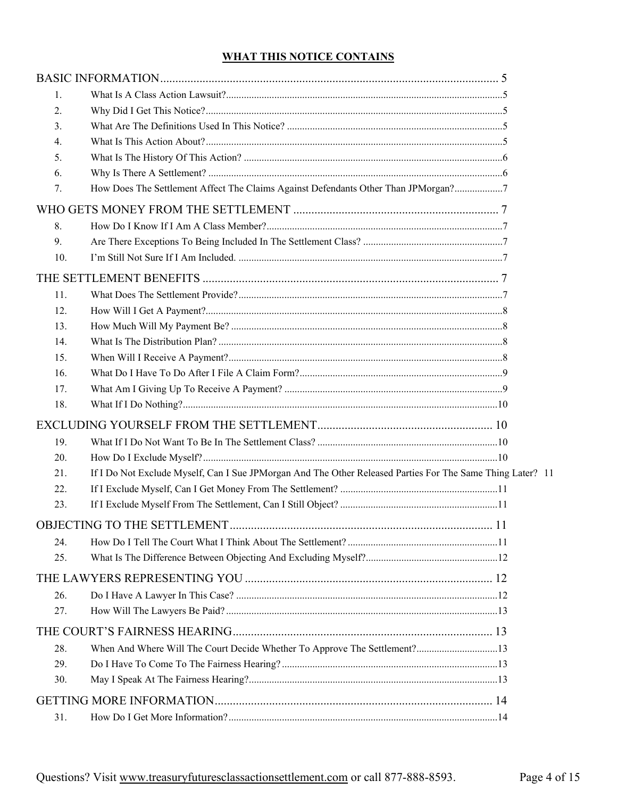# **WHAT THIS NOTICE CONTAINS**

| 1.  |                                                                                                            |  |
|-----|------------------------------------------------------------------------------------------------------------|--|
| 2.  |                                                                                                            |  |
| 3.  |                                                                                                            |  |
| 4.  |                                                                                                            |  |
| 5.  |                                                                                                            |  |
| 6.  |                                                                                                            |  |
| 7.  | How Does The Settlement Affect The Claims Against Defendants Other Than JPMorgan?7                         |  |
|     |                                                                                                            |  |
| 8.  |                                                                                                            |  |
| 9.  |                                                                                                            |  |
| 10. |                                                                                                            |  |
|     |                                                                                                            |  |
| 11. |                                                                                                            |  |
| 12. |                                                                                                            |  |
| 13. |                                                                                                            |  |
| 14. |                                                                                                            |  |
| 15. |                                                                                                            |  |
| 16. |                                                                                                            |  |
| 17. |                                                                                                            |  |
| 18. |                                                                                                            |  |
|     |                                                                                                            |  |
| 19. |                                                                                                            |  |
| 20. |                                                                                                            |  |
| 21. | If I Do Not Exclude Myself, Can I Sue JPMorgan And The Other Released Parties For The Same Thing Later? 11 |  |
| 22. |                                                                                                            |  |
| 23. |                                                                                                            |  |
|     |                                                                                                            |  |
| 24. |                                                                                                            |  |
| 25. |                                                                                                            |  |
|     |                                                                                                            |  |
| 26. |                                                                                                            |  |
| 27. |                                                                                                            |  |
|     |                                                                                                            |  |
| 28. | When And Where Will The Court Decide Whether To Approve The Settlement? 13                                 |  |
| 29. |                                                                                                            |  |
| 30. |                                                                                                            |  |
|     |                                                                                                            |  |
|     |                                                                                                            |  |
| 31. |                                                                                                            |  |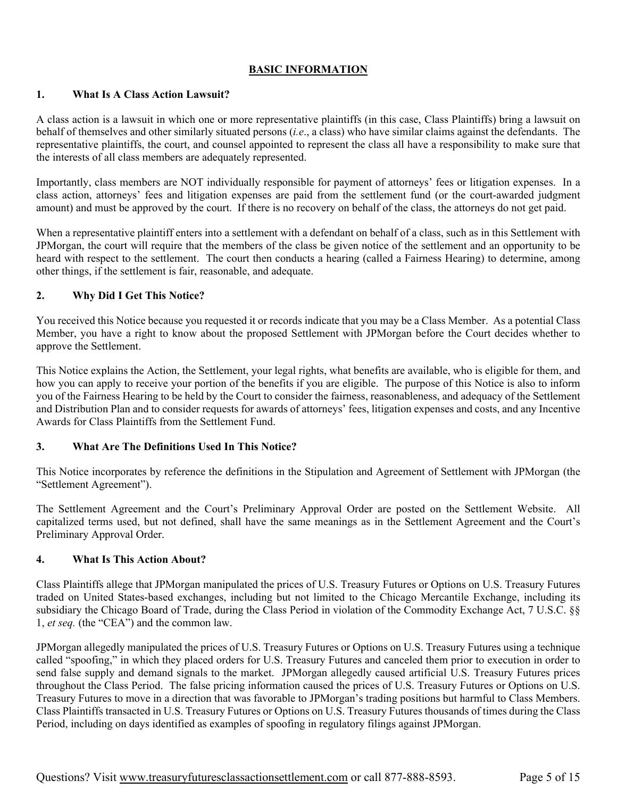## **BASIC INFORMATION**

#### **1. What Is A Class Action Lawsuit?**

A class action is a lawsuit in which one or more representative plaintiffs (in this case, Class Plaintiffs) bring a lawsuit on behalf of themselves and other similarly situated persons (*i.e*., a class) who have similar claims against the defendants. The representative plaintiffs, the court, and counsel appointed to represent the class all have a responsibility to make sure that the interests of all class members are adequately represented.

Importantly, class members are NOT individually responsible for payment of attorneys' fees or litigation expenses. In a class action, attorneys' fees and litigation expenses are paid from the settlement fund (or the court-awarded judgment amount) and must be approved by the court. If there is no recovery on behalf of the class, the attorneys do not get paid.

When a representative plaintiff enters into a settlement with a defendant on behalf of a class, such as in this Settlement with JPMorgan, the court will require that the members of the class be given notice of the settlement and an opportunity to be heard with respect to the settlement. The court then conducts a hearing (called a Fairness Hearing) to determine, among other things, if the settlement is fair, reasonable, and adequate.

#### **2. Why Did I Get This Notice?**

You received this Notice because you requested it or records indicate that you may be a Class Member. As a potential Class Member, you have a right to know about the proposed Settlement with JPMorgan before the Court decides whether to approve the Settlement.

This Notice explains the Action, the Settlement, your legal rights, what benefits are available, who is eligible for them, and how you can apply to receive your portion of the benefits if you are eligible. The purpose of this Notice is also to inform you of the Fairness Hearing to be held by the Court to consider the fairness, reasonableness, and adequacy of the Settlement and Distribution Plan and to consider requests for awards of attorneys' fees, litigation expenses and costs, and any Incentive Awards for Class Plaintiffs from the Settlement Fund.

## **3. What Are The Definitions Used In This Notice?**

This Notice incorporates by reference the definitions in the Stipulation and Agreement of Settlement with JPMorgan (the "Settlement Agreement").

The Settlement Agreement and the Court's Preliminary Approval Order are posted on the Settlement Website. All capitalized terms used, but not defined, shall have the same meanings as in the Settlement Agreement and the Court's Preliminary Approval Order.

#### **4. What Is This Action About?**

Class Plaintiffs allege that JPMorgan manipulated the prices of U.S. Treasury Futures or Options on U.S. Treasury Futures traded on United States-based exchanges, including but not limited to the Chicago Mercantile Exchange, including its subsidiary the Chicago Board of Trade, during the Class Period in violation of the Commodity Exchange Act, 7 U.S.C. §§ 1, *et seq.* (the "CEA") and the common law.

JPMorgan allegedly manipulated the prices of U.S. Treasury Futures or Options on U.S. Treasury Futures using a technique called "spoofing," in which they placed orders for U.S. Treasury Futures and canceled them prior to execution in order to send false supply and demand signals to the market. JPMorgan allegedly caused artificial U.S. Treasury Futures prices throughout the Class Period. The false pricing information caused the prices of U.S. Treasury Futures or Options on U.S. Treasury Futures to move in a direction that was favorable to JPMorgan's trading positions but harmful to Class Members. Class Plaintiffs transacted in U.S. Treasury Futures or Options on U.S. Treasury Futures thousands of times during the Class Period, including on days identified as examples of spoofing in regulatory filings against JPMorgan.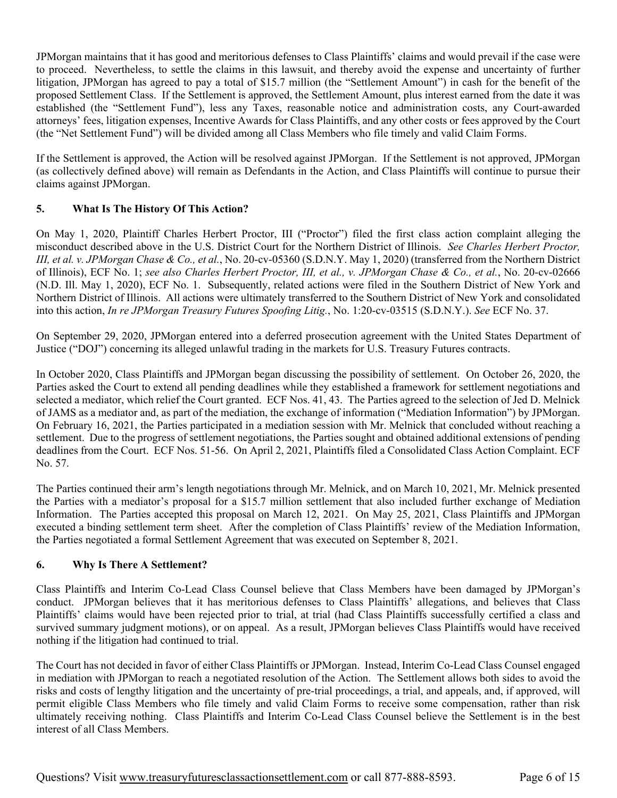JPMorgan maintains that it has good and meritorious defenses to Class Plaintiffs' claims and would prevail if the case were to proceed. Nevertheless, to settle the claims in this lawsuit, and thereby avoid the expense and uncertainty of further litigation, JPMorgan has agreed to pay a total of \$15.7 million (the "Settlement Amount") in cash for the benefit of the proposed Settlement Class. If the Settlement is approved, the Settlement Amount, plus interest earned from the date it was established (the "Settlement Fund"), less any Taxes, reasonable notice and administration costs, any Court-awarded attorneys' fees, litigation expenses, Incentive Awards for Class Plaintiffs, and any other costs or fees approved by the Court (the "Net Settlement Fund") will be divided among all Class Members who file timely and valid Claim Forms.

If the Settlement is approved, the Action will be resolved against JPMorgan. If the Settlement is not approved, JPMorgan (as collectively defined above) will remain as Defendants in the Action, and Class Plaintiffs will continue to pursue their claims against JPMorgan.

## **5. What Is The History Of This Action?**

On May 1, 2020, Plaintiff Charles Herbert Proctor, III ("Proctor") filed the first class action complaint alleging the misconduct described above in the U.S. District Court for the Northern District of Illinois. *See Charles Herbert Proctor, III, et al. v. JPMorgan Chase & Co., et al.*, No. 20-cv-05360 (S.D.N.Y. May 1, 2020) (transferred from the Northern District of Illinois), ECF No. 1; *see also Charles Herbert Proctor, III, et al., v. JPMorgan Chase & Co., et al.*, No. 20-cv-02666 (N.D. Ill. May 1, 2020), ECF No. 1. Subsequently, related actions were filed in the Southern District of New York and Northern District of Illinois. All actions were ultimately transferred to the Southern District of New York and consolidated into this action, *In re JPMorgan Treasury Futures Spoofing Litig.*, No. 1:20-cv-03515 (S.D.N.Y.). *See* ECF No. 37.

On September 29, 2020, JPMorgan entered into a deferred prosecution agreement with the United States Department of Justice ("DOJ") concerning its alleged unlawful trading in the markets for U.S. Treasury Futures contracts.

In October 2020, Class Plaintiffs and JPMorgan began discussing the possibility of settlement. On October 26, 2020, the Parties asked the Court to extend all pending deadlines while they established a framework for settlement negotiations and selected a mediator, which relief the Court granted. ECF Nos. 41, 43. The Parties agreed to the selection of Jed D. Melnick of JAMS as a mediator and, as part of the mediation, the exchange of information ("Mediation Information") by JPMorgan. On February 16, 2021, the Parties participated in a mediation session with Mr. Melnick that concluded without reaching a settlement. Due to the progress of settlement negotiations, the Parties sought and obtained additional extensions of pending deadlines from the Court. ECF Nos. 51-56. On April 2, 2021, Plaintiffs filed a Consolidated Class Action Complaint. ECF No. 57.

The Parties continued their arm's length negotiations through Mr. Melnick, and on March 10, 2021, Mr. Melnick presented the Parties with a mediator's proposal for a \$15.7 million settlement that also included further exchange of Mediation Information. The Parties accepted this proposal on March 12, 2021. On May 25, 2021, Class Plaintiffs and JPMorgan executed a binding settlement term sheet. After the completion of Class Plaintiffs' review of the Mediation Information, the Parties negotiated a formal Settlement Agreement that was executed on September 8, 2021.

## **6. Why Is There A Settlement?**

Class Plaintiffs and Interim Co-Lead Class Counsel believe that Class Members have been damaged by JPMorgan's conduct. JPMorgan believes that it has meritorious defenses to Class Plaintiffs' allegations, and believes that Class Plaintiffs' claims would have been rejected prior to trial, at trial (had Class Plaintiffs successfully certified a class and survived summary judgment motions), or on appeal. As a result, JPMorgan believes Class Plaintiffs would have received nothing if the litigation had continued to trial.

The Court has not decided in favor of either Class Plaintiffs or JPMorgan. Instead, Interim Co-Lead Class Counsel engaged in mediation with JPMorgan to reach a negotiated resolution of the Action. The Settlement allows both sides to avoid the risks and costs of lengthy litigation and the uncertainty of pre-trial proceedings, a trial, and appeals, and, if approved, will permit eligible Class Members who file timely and valid Claim Forms to receive some compensation, rather than risk ultimately receiving nothing. Class Plaintiffs and Interim Co-Lead Class Counsel believe the Settlement is in the best interest of all Class Members.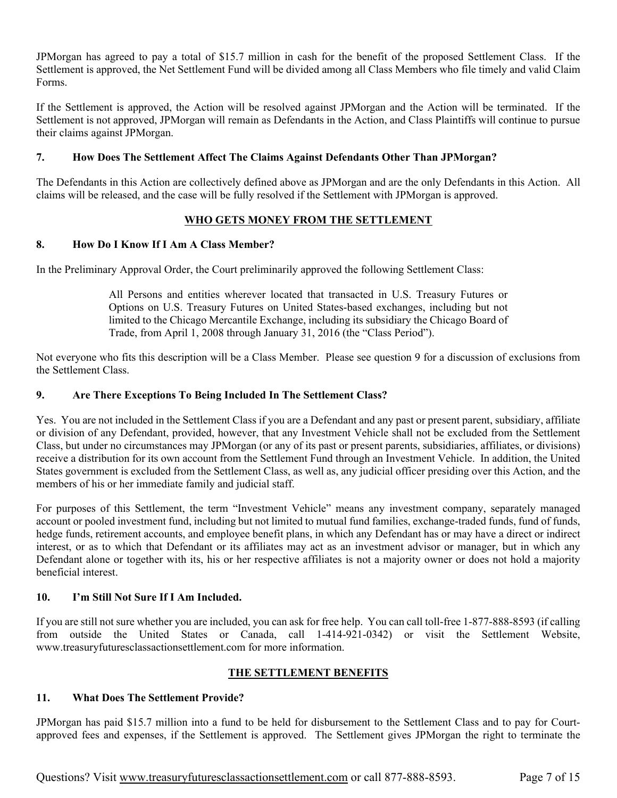JPMorgan has agreed to pay a total of \$15.7 million in cash for the benefit of the proposed Settlement Class. If the Settlement is approved, the Net Settlement Fund will be divided among all Class Members who file timely and valid Claim Forms.

If the Settlement is approved, the Action will be resolved against JPMorgan and the Action will be terminated. If the Settlement is not approved, JPMorgan will remain as Defendants in the Action, and Class Plaintiffs will continue to pursue their claims against JPMorgan.

## **7. How Does The Settlement Affect The Claims Against Defendants Other Than JPMorgan?**

The Defendants in this Action are collectively defined above as JPMorgan and are the only Defendants in this Action. All claims will be released, and the case will be fully resolved if the Settlement with JPMorgan is approved.

## **WHO GETS MONEY FROM THE SETTLEMENT**

## **8. How Do I Know If I Am A Class Member?**

In the Preliminary Approval Order, the Court preliminarily approved the following Settlement Class:

All Persons and entities wherever located that transacted in U.S. Treasury Futures or Options on U.S. Treasury Futures on United States-based exchanges, including but not limited to the Chicago Mercantile Exchange, including its subsidiary the Chicago Board of Trade, from April 1, 2008 through January 31, 2016 (the "Class Period").

Not everyone who fits this description will be a Class Member. Please see question 9 for a discussion of exclusions from the Settlement Class.

## **9. Are There Exceptions To Being Included In The Settlement Class?**

Yes. You are not included in the Settlement Class if you are a Defendant and any past or present parent, subsidiary, affiliate or division of any Defendant, provided, however, that any Investment Vehicle shall not be excluded from the Settlement Class, but under no circumstances may JPMorgan (or any of its past or present parents, subsidiaries, affiliates, or divisions) receive a distribution for its own account from the Settlement Fund through an Investment Vehicle. In addition, the United States government is excluded from the Settlement Class, as well as, any judicial officer presiding over this Action, and the members of his or her immediate family and judicial staff.

For purposes of this Settlement, the term "Investment Vehicle" means any investment company, separately managed account or pooled investment fund, including but not limited to mutual fund families, exchange-traded funds, fund of funds, hedge funds, retirement accounts, and employee benefit plans, in which any Defendant has or may have a direct or indirect interest, or as to which that Defendant or its affiliates may act as an investment advisor or manager, but in which any Defendant alone or together with its, his or her respective affiliates is not a majority owner or does not hold a majority beneficial interest.

## **10. I'm Still Not Sure If I Am Included.**

If you are still not sure whether you are included, you can ask for free help. You can call toll-free 1-877-888-8593 (if calling from outside the United States or Canada, call 1-414-921-0342) or visit the Settlement Website, www.treasuryfuturesclassactionsettlement.com for more information.

## **THE SETTLEMENT BENEFITS**

## **11. What Does The Settlement Provide?**

JPMorgan has paid \$15.7 million into a fund to be held for disbursement to the Settlement Class and to pay for Courtapproved fees and expenses, if the Settlement is approved. The Settlement gives JPMorgan the right to terminate the

Questions? Visit www.treasuryfuturesclassactionsettlement.com or call 877-888-8593. Page 7 of 15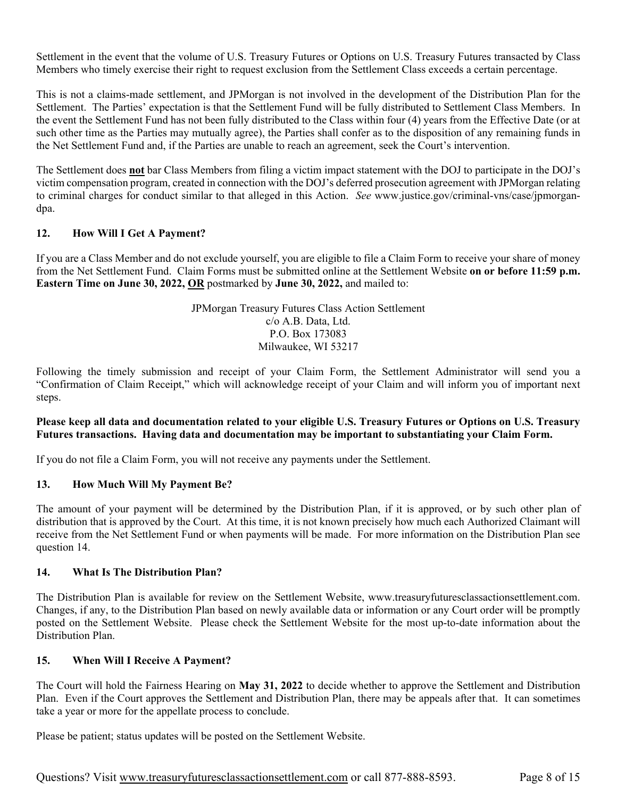Settlement in the event that the volume of U.S. Treasury Futures or Options on U.S. Treasury Futures transacted by Class Members who timely exercise their right to request exclusion from the Settlement Class exceeds a certain percentage.

This is not a claims-made settlement, and JPMorgan is not involved in the development of the Distribution Plan for the Settlement. The Parties' expectation is that the Settlement Fund will be fully distributed to Settlement Class Members. In the event the Settlement Fund has not been fully distributed to the Class within four (4) years from the Effective Date (or at such other time as the Parties may mutually agree), the Parties shall confer as to the disposition of any remaining funds in the Net Settlement Fund and, if the Parties are unable to reach an agreement, seek the Court's intervention.

The Settlement does **not** bar Class Members from filing a victim impact statement with the DOJ to participate in the DOJ's victim compensation program, created in connection with the DOJ's deferred prosecution agreement with JPMorgan relating to criminal charges for conduct similar to that alleged in this Action. *See* www.justice.gov/criminal-vns/case/jpmorgandpa.

#### **12. How Will I Get A Payment?**

If you are a Class Member and do not exclude yourself, you are eligible to file a Claim Form to receive your share of money from the Net Settlement Fund. Claim Forms must be submitted online at the Settlement Website **on or before 11:59 p.m. Eastern Time on June 30, 2022, OR** postmarked by **June 30, 2022,** and mailed to:

> JPMorgan Treasury Futures Class Action Settlement c/o A.B. Data, Ltd. P.O. Box 173083 Milwaukee, WI 53217

Following the timely submission and receipt of your Claim Form, the Settlement Administrator will send you a "Confirmation of Claim Receipt," which will acknowledge receipt of your Claim and will inform you of important next steps.

#### **Please keep all data and documentation related to your eligible U.S. Treasury Futures or Options on U.S. Treasury Futures transactions. Having data and documentation may be important to substantiating your Claim Form.**

If you do not file a Claim Form, you will not receive any payments under the Settlement.

#### **13. How Much Will My Payment Be?**

The amount of your payment will be determined by the Distribution Plan, if it is approved, or by such other plan of distribution that is approved by the Court. At this time, it is not known precisely how much each Authorized Claimant will receive from the Net Settlement Fund or when payments will be made. For more information on the Distribution Plan see question 14.

#### **14. What Is The Distribution Plan?**

The Distribution Plan is available for review on the Settlement Website, www.treasuryfuturesclassactionsettlement.com. Changes, if any, to the Distribution Plan based on newly available data or information or any Court order will be promptly posted on the Settlement Website. Please check the Settlement Website for the most up-to-date information about the Distribution Plan.

#### **15. When Will I Receive A Payment?**

The Court will hold the Fairness Hearing on **May 31, 2022** to decide whether to approve the Settlement and Distribution Plan. Even if the Court approves the Settlement and Distribution Plan, there may be appeals after that. It can sometimes take a year or more for the appellate process to conclude.

Please be patient; status updates will be posted on the Settlement Website.

Questions? Visit www.treasuryfuturesclassactionsettlement.com or call 877-888-8593. Page 8 of 15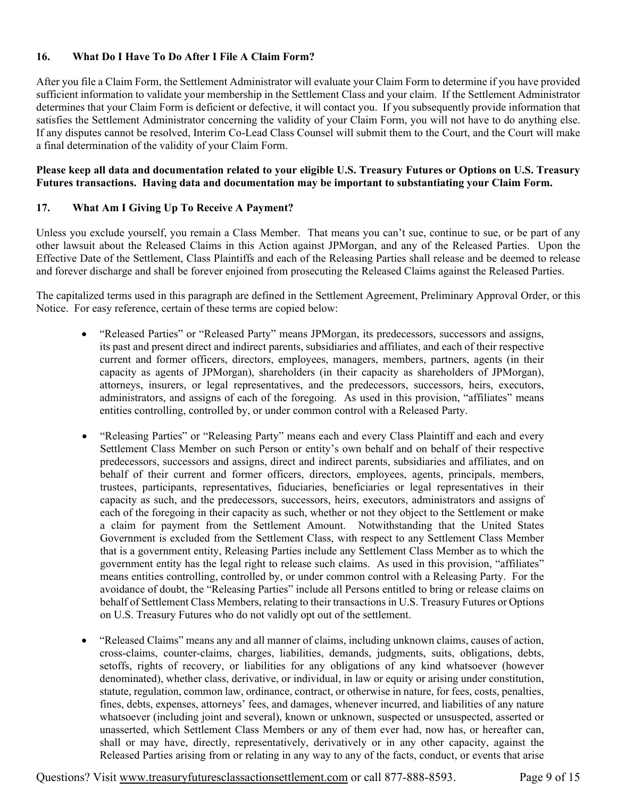### **16. What Do I Have To Do After I File A Claim Form?**

After you file a Claim Form, the Settlement Administrator will evaluate your Claim Form to determine if you have provided sufficient information to validate your membership in the Settlement Class and your claim. If the Settlement Administrator determines that your Claim Form is deficient or defective, it will contact you. If you subsequently provide information that satisfies the Settlement Administrator concerning the validity of your Claim Form, you will not have to do anything else. If any disputes cannot be resolved, Interim Co-Lead Class Counsel will submit them to the Court, and the Court will make a final determination of the validity of your Claim Form.

#### **Please keep all data and documentation related to your eligible U.S. Treasury Futures or Options on U.S. Treasury Futures transactions. Having data and documentation may be important to substantiating your Claim Form.**

## **17. What Am I Giving Up To Receive A Payment?**

Unless you exclude yourself, you remain a Class Member. That means you can't sue, continue to sue, or be part of any other lawsuit about the Released Claims in this Action against JPMorgan, and any of the Released Parties. Upon the Effective Date of the Settlement, Class Plaintiffs and each of the Releasing Parties shall release and be deemed to release and forever discharge and shall be forever enjoined from prosecuting the Released Claims against the Released Parties.

The capitalized terms used in this paragraph are defined in the Settlement Agreement, Preliminary Approval Order, or this Notice. For easy reference, certain of these terms are copied below:

- "Released Parties" or "Released Party" means JPMorgan, its predecessors, successors and assigns, its past and present direct and indirect parents, subsidiaries and affiliates, and each of their respective current and former officers, directors, employees, managers, members, partners, agents (in their capacity as agents of JPMorgan), shareholders (in their capacity as shareholders of JPMorgan), attorneys, insurers, or legal representatives, and the predecessors, successors, heirs, executors, administrators, and assigns of each of the foregoing. As used in this provision, "affiliates" means entities controlling, controlled by, or under common control with a Released Party.
- "Releasing Parties" or "Releasing Party" means each and every Class Plaintiff and each and every Settlement Class Member on such Person or entity's own behalf and on behalf of their respective predecessors, successors and assigns, direct and indirect parents, subsidiaries and affiliates, and on behalf of their current and former officers, directors, employees, agents, principals, members, trustees, participants, representatives, fiduciaries, beneficiaries or legal representatives in their capacity as such, and the predecessors, successors, heirs, executors, administrators and assigns of each of the foregoing in their capacity as such, whether or not they object to the Settlement or make a claim for payment from the Settlement Amount. Notwithstanding that the United States Government is excluded from the Settlement Class, with respect to any Settlement Class Member that is a government entity, Releasing Parties include any Settlement Class Member as to which the government entity has the legal right to release such claims. As used in this provision, "affiliates" means entities controlling, controlled by, or under common control with a Releasing Party. For the avoidance of doubt, the "Releasing Parties" include all Persons entitled to bring or release claims on behalf of Settlement Class Members, relating to their transactions in U.S. Treasury Futures or Options on U.S. Treasury Futures who do not validly opt out of the settlement.
- "Released Claims" means any and all manner of claims, including unknown claims, causes of action, cross-claims, counter-claims, charges, liabilities, demands, judgments, suits, obligations, debts, setoffs, rights of recovery, or liabilities for any obligations of any kind whatsoever (however denominated), whether class, derivative, or individual, in law or equity or arising under constitution, statute, regulation, common law, ordinance, contract, or otherwise in nature, for fees, costs, penalties, fines, debts, expenses, attorneys' fees, and damages, whenever incurred, and liabilities of any nature whatsoever (including joint and several), known or unknown, suspected or unsuspected, asserted or unasserted, which Settlement Class Members or any of them ever had, now has, or hereafter can, shall or may have, directly, representatively, derivatively or in any other capacity, against the Released Parties arising from or relating in any way to any of the facts, conduct, or events that arise

Questions? Visit www.treasuryfuturesclassactionsettlement.com or call 877-888-8593. Page 9 of 15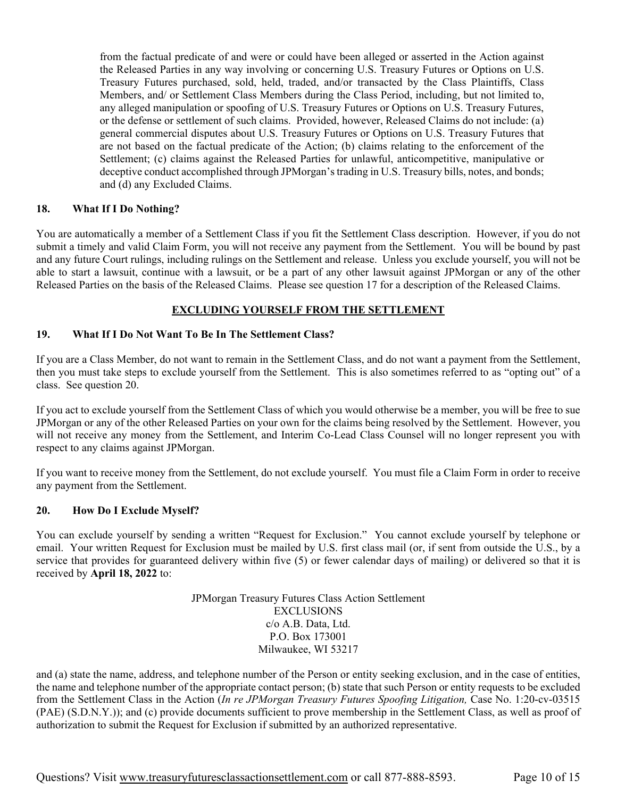from the factual predicate of and were or could have been alleged or asserted in the Action against the Released Parties in any way involving or concerning U.S. Treasury Futures or Options on U.S. Treasury Futures purchased, sold, held, traded, and/or transacted by the Class Plaintiffs, Class Members, and/ or Settlement Class Members during the Class Period, including, but not limited to, any alleged manipulation or spoofing of U.S. Treasury Futures or Options on U.S. Treasury Futures, or the defense or settlement of such claims. Provided, however, Released Claims do not include: (a) general commercial disputes about U.S. Treasury Futures or Options on U.S. Treasury Futures that are not based on the factual predicate of the Action; (b) claims relating to the enforcement of the Settlement; (c) claims against the Released Parties for unlawful, anticompetitive, manipulative or deceptive conduct accomplished through JPMorgan's trading in U.S. Treasury bills, notes, and bonds; and (d) any Excluded Claims.

#### **18. What If I Do Nothing?**

You are automatically a member of a Settlement Class if you fit the Settlement Class description. However, if you do not submit a timely and valid Claim Form, you will not receive any payment from the Settlement. You will be bound by past and any future Court rulings, including rulings on the Settlement and release. Unless you exclude yourself, you will not be able to start a lawsuit, continue with a lawsuit, or be a part of any other lawsuit against JPMorgan or any of the other Released Parties on the basis of the Released Claims. Please see question 17 for a description of the Released Claims.

## **EXCLUDING YOURSELF FROM THE SETTLEMENT**

#### **19. What If I Do Not Want To Be In The Settlement Class?**

If you are a Class Member, do not want to remain in the Settlement Class, and do not want a payment from the Settlement, then you must take steps to exclude yourself from the Settlement. This is also sometimes referred to as "opting out" of a class. See question 20.

If you act to exclude yourself from the Settlement Class of which you would otherwise be a member, you will be free to sue JPMorgan or any of the other Released Parties on your own for the claims being resolved by the Settlement. However, you will not receive any money from the Settlement, and Interim Co-Lead Class Counsel will no longer represent you with respect to any claims against JPMorgan.

If you want to receive money from the Settlement, do not exclude yourself. You must file a Claim Form in order to receive any payment from the Settlement.

#### **20. How Do I Exclude Myself?**

You can exclude yourself by sending a written "Request for Exclusion." You cannot exclude yourself by telephone or email. Your written Request for Exclusion must be mailed by U.S. first class mail (or, if sent from outside the U.S., by a service that provides for guaranteed delivery within five (5) or fewer calendar days of mailing) or delivered so that it is received by **April 18, 2022** to:

> JPMorgan Treasury Futures Class Action Settlement EXCLUSIONS c/o A.B. Data, Ltd. P.O. Box 173001 Milwaukee, WI 53217

and (a) state the name, address, and telephone number of the Person or entity seeking exclusion, and in the case of entities, the name and telephone number of the appropriate contact person; (b) state that such Person or entity requests to be excluded from the Settlement Class in the Action (*In re JPMorgan Treasury Futures Spoofing Litigation,* Case No. 1:20-cv-03515 (PAE) (S.D.N.Y.)); and (c) provide documents sufficient to prove membership in the Settlement Class, as well as proof of authorization to submit the Request for Exclusion if submitted by an authorized representative.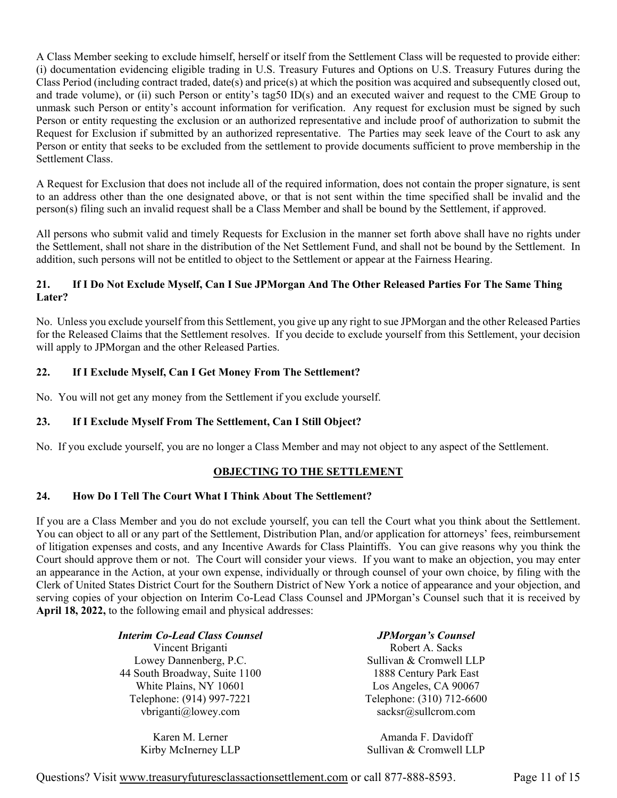A Class Member seeking to exclude himself, herself or itself from the Settlement Class will be requested to provide either: (i) documentation evidencing eligible trading in U.S. Treasury Futures and Options on U.S. Treasury Futures during the Class Period (including contract traded, date(s) and price(s) at which the position was acquired and subsequently closed out, and trade volume), or (ii) such Person or entity's tag50 ID(s) and an executed waiver and request to the CME Group to unmask such Person or entity's account information for verification. Any request for exclusion must be signed by such Person or entity requesting the exclusion or an authorized representative and include proof of authorization to submit the Request for Exclusion if submitted by an authorized representative. The Parties may seek leave of the Court to ask any Person or entity that seeks to be excluded from the settlement to provide documents sufficient to prove membership in the Settlement Class.

A Request for Exclusion that does not include all of the required information, does not contain the proper signature, is sent to an address other than the one designated above, or that is not sent within the time specified shall be invalid and the person(s) filing such an invalid request shall be a Class Member and shall be bound by the Settlement, if approved.

All persons who submit valid and timely Requests for Exclusion in the manner set forth above shall have no rights under the Settlement, shall not share in the distribution of the Net Settlement Fund, and shall not be bound by the Settlement. In addition, such persons will not be entitled to object to the Settlement or appear at the Fairness Hearing.

## **21. If I Do Not Exclude Myself, Can I Sue JPMorgan And The Other Released Parties For The Same Thing Later?**

No. Unless you exclude yourself from this Settlement, you give up any right to sue JPMorgan and the other Released Parties for the Released Claims that the Settlement resolves. If you decide to exclude yourself from this Settlement, your decision will apply to JPMorgan and the other Released Parties.

## **22. If I Exclude Myself, Can I Get Money From The Settlement?**

No. You will not get any money from the Settlement if you exclude yourself.

## **23. If I Exclude Myself From The Settlement, Can I Still Object?**

No. If you exclude yourself, you are no longer a Class Member and may not object to any aspect of the Settlement.

## **OBJECTING TO THE SETTLEMENT**

## **24. How Do I Tell The Court What I Think About The Settlement?**

If you are a Class Member and you do not exclude yourself, you can tell the Court what you think about the Settlement. You can object to all or any part of the Settlement, Distribution Plan, and/or application for attorneys' fees, reimbursement of litigation expenses and costs, and any Incentive Awards for Class Plaintiffs. You can give reasons why you think the Court should approve them or not. The Court will consider your views. If you want to make an objection, you may enter an appearance in the Action, at your own expense, individually or through counsel of your own choice, by filing with the Clerk of United States District Court for the Southern District of New York a notice of appearance and your objection, and serving copies of your objection on Interim Co-Lead Class Counsel and JPMorgan's Counsel such that it is received by **April 18, 2022,** to the following email and physical addresses:

| <b>Interim Co-Lead Class Counsel</b>             | <b>JPMorgan's Counsel</b>                        |
|--------------------------------------------------|--------------------------------------------------|
| Vincent Briganti                                 | Robert A. Sacks                                  |
| Lowey Dannenberg, P.C.                           | Sullivan & Cromwell LLP                          |
| 44 South Broadway, Suite 1100                    | 1888 Century Park East                           |
| White Plains, NY 10601                           | Los Angeles, CA 90067                            |
| Telephone: (914) 997-7221<br>vbriganti@lowey.com | Telephone: (310) 712-6600<br>sacksr@sullcrom.com |

Karen M. Lerner Kirby McInerney LLP

Amanda F. Davidoff Sullivan & Cromwell LLP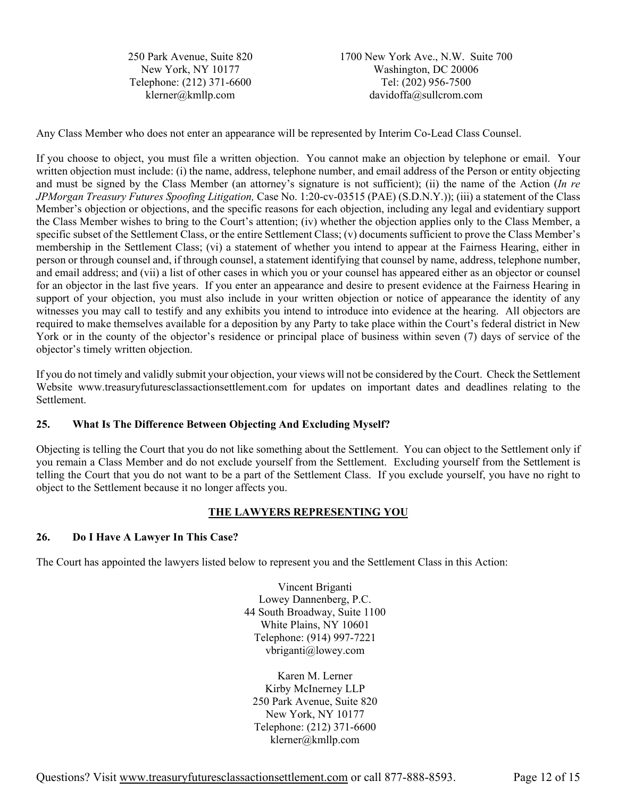250 Park Avenue, Suite 820 New York, NY 10177 Telephone: (212) 371-6600 klerner@kmllp.com

1700 New York Ave., N.W. Suite 700 Washington, DC 20006 Tel: (202) 956-7500 davidoffa@sullcrom.com

Any Class Member who does not enter an appearance will be represented by Interim Co-Lead Class Counsel.

If you choose to object, you must file a written objection. You cannot make an objection by telephone or email. Your written objection must include: (i) the name, address, telephone number, and email address of the Person or entity objecting and must be signed by the Class Member (an attorney's signature is not sufficient); (ii) the name of the Action (*In re JPMorgan Treasury Futures Spoofing Litigation,* Case No. 1:20-cv-03515 (PAE) (S.D.N.Y.)); (iii) a statement of the Class Member's objection or objections, and the specific reasons for each objection, including any legal and evidentiary support the Class Member wishes to bring to the Court's attention; (iv) whether the objection applies only to the Class Member, a specific subset of the Settlement Class, or the entire Settlement Class; (v) documents sufficient to prove the Class Member's membership in the Settlement Class; (vi) a statement of whether you intend to appear at the Fairness Hearing, either in person or through counsel and, if through counsel, a statement identifying that counsel by name, address, telephone number, and email address; and (vii) a list of other cases in which you or your counsel has appeared either as an objector or counsel for an objector in the last five years. If you enter an appearance and desire to present evidence at the Fairness Hearing in support of your objection, you must also include in your written objection or notice of appearance the identity of any witnesses you may call to testify and any exhibits you intend to introduce into evidence at the hearing. All objectors are required to make themselves available for a deposition by any Party to take place within the Court's federal district in New York or in the county of the objector's residence or principal place of business within seven (7) days of service of the objector's timely written objection.

If you do not timely and validly submit your objection, your views will not be considered by the Court. Check the Settlement Website www.treasuryfuturesclassactionsettlement.com for updates on important dates and deadlines relating to the Settlement.

## **25. What Is The Difference Between Objecting And Excluding Myself?**

Objecting is telling the Court that you do not like something about the Settlement. You can object to the Settlement only if you remain a Class Member and do not exclude yourself from the Settlement. Excluding yourself from the Settlement is telling the Court that you do not want to be a part of the Settlement Class. If you exclude yourself, you have no right to object to the Settlement because it no longer affects you.

## **THE LAWYERS REPRESENTING YOU**

## **26. Do I Have A Lawyer In This Case?**

The Court has appointed the lawyers listed below to represent you and the Settlement Class in this Action:

Vincent Briganti Lowey Dannenberg, P.C. 44 South Broadway, Suite 1100 White Plains, NY 10601 Telephone: (914) 997-7221 vbriganti@lowey.com

Karen M. Lerner Kirby McInerney LLP 250 Park Avenue, Suite 820 New York, NY 10177 Telephone: (212) 371-6600 klerner@kmllp.com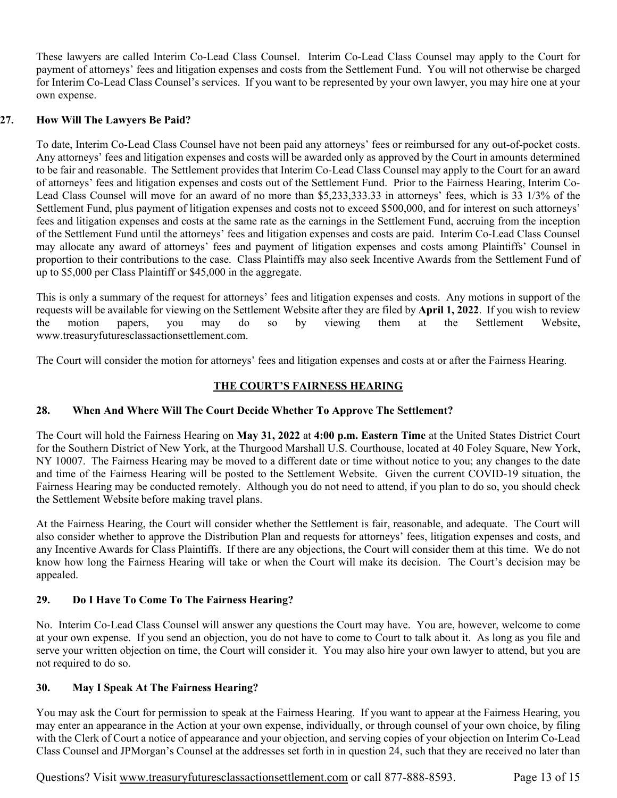These lawyers are called Interim Co-Lead Class Counsel. Interim Co-Lead Class Counsel may apply to the Court for payment of attorneys' fees and litigation expenses and costs from the Settlement Fund. You will not otherwise be charged for Interim Co-Lead Class Counsel's services. If you want to be represented by your own lawyer, you may hire one at your own expense.

## **27. How Will The Lawyers Be Paid?**

To date, Interim Co-Lead Class Counsel have not been paid any attorneys' fees or reimbursed for any out-of-pocket costs. Any attorneys' fees and litigation expenses and costs will be awarded only as approved by the Court in amounts determined to be fair and reasonable. The Settlement provides that Interim Co-Lead Class Counsel may apply to the Court for an award of attorneys' fees and litigation expenses and costs out of the Settlement Fund. Prior to the Fairness Hearing, Interim Co-Lead Class Counsel will move for an award of no more than \$5,233,333.33 in attorneys' fees, which is 33 1/3% of the Settlement Fund, plus payment of litigation expenses and costs not to exceed \$500,000, and for interest on such attorneys' fees and litigation expenses and costs at the same rate as the earnings in the Settlement Fund, accruing from the inception of the Settlement Fund until the attorneys' fees and litigation expenses and costs are paid. Interim Co-Lead Class Counsel may allocate any award of attorneys' fees and payment of litigation expenses and costs among Plaintiffs' Counsel in proportion to their contributions to the case. Class Plaintiffs may also seek Incentive Awards from the Settlement Fund of up to \$5,000 per Class Plaintiff or \$45,000 in the aggregate.

This is only a summary of the request for attorneys' fees and litigation expenses and costs. Any motions in support of the requests will be available for viewing on the Settlement Website after they are filed by **April 1, 2022**. If you wish to review the motion papers, you may do so by viewing them at the Settlement Website, www.treasuryfuturesclassactionsettlement.com.

The Court will consider the motion for attorneys' fees and litigation expenses and costs at or after the Fairness Hearing.

# **THE COURT'S FAIRNESS HEARING**

## **28. When And Where Will The Court Decide Whether To Approve The Settlement?**

The Court will hold the Fairness Hearing on **May 31, 2022** at **4:00 p.m. Eastern Time** at the United States District Court for the Southern District of New York, at the Thurgood Marshall U.S. Courthouse, located at 40 Foley Square, New York, NY 10007. The Fairness Hearing may be moved to a different date or time without notice to you; any changes to the date and time of the Fairness Hearing will be posted to the Settlement Website. Given the current COVID-19 situation, the Fairness Hearing may be conducted remotely. Although you do not need to attend, if you plan to do so, you should check the Settlement Website before making travel plans.

At the Fairness Hearing, the Court will consider whether the Settlement is fair, reasonable, and adequate. The Court will also consider whether to approve the Distribution Plan and requests for attorneys' fees, litigation expenses and costs, and any Incentive Awards for Class Plaintiffs. If there are any objections, the Court will consider them at this time. We do not know how long the Fairness Hearing will take or when the Court will make its decision. The Court's decision may be appealed.

## **29. Do I Have To Come To The Fairness Hearing?**

No. Interim Co-Lead Class Counsel will answer any questions the Court may have. You are, however, welcome to come at your own expense. If you send an objection, you do not have to come to Court to talk about it. As long as you file and serve your written objection on time, the Court will consider it. You may also hire your own lawyer to attend, but you are not required to do so.

## **30. May I Speak At The Fairness Hearing?**

You may ask the Court for permission to speak at the Fairness Hearing. If you want to appear at the Fairness Hearing, you may enter an appearance in the Action at your own expense, individually, or through counsel of your own choice, by filing with the Clerk of Court a notice of appearance and your objection, and serving copies of your objection on Interim Co-Lead Class Counsel and JPMorgan's Counsel at the addresses set forth in in question 24, such that they are received no later than

Questions? Visit www.treasuryfuturesclassactionsettlement.com or call 877-888-8593. Page 13 of 15